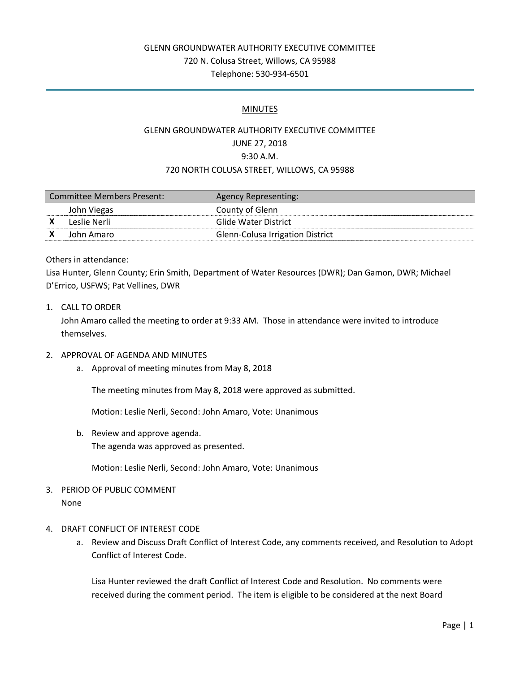## GLENN GROUNDWATER AUTHORITY EXECUTIVE COMMITTEE 720 N. Colusa Street, Willows, CA 95988 Telephone: 530-934-6501

#### MINUTES

## GLENN GROUNDWATER AUTHORITY EXECUTIVE COMMITTEE JUNE 27, 2018 9:30 A.M. 720 NORTH COLUSA STREET, WILLOWS, CA 95988

| Committee Members Present: |              | <b>Agency Representing:</b>      |
|----------------------------|--------------|----------------------------------|
|                            | John Viegas  | County of Glenn                  |
|                            | Leslie Nerli | Glide Water District             |
|                            | John Amaro   | Glenn-Colusa Irrigation District |

#### Others in attendance:

Lisa Hunter, Glenn County; Erin Smith, Department of Water Resources (DWR); Dan Gamon, DWR; Michael D'Errico, USFWS; Pat Vellines, DWR

1. CALL TO ORDER

John Amaro called the meeting to order at 9:33 AM. Those in attendance were invited to introduce themselves.

#### 2. APPROVAL OF AGENDA AND MINUTES

a. Approval of meeting minutes from May 8, 2018

The meeting minutes from May 8, 2018 were approved as submitted.

Motion: Leslie Nerli, Second: John Amaro, Vote: Unanimous

b. Review and approve agenda. The agenda was approved as presented.

Motion: Leslie Nerli, Second: John Amaro, Vote: Unanimous

### 3. PERIOD OF PUBLIC COMMENT None

- 4. DRAFT CONFLICT OF INTEREST CODE
	- a. Review and Discuss Draft Conflict of Interest Code, any comments received, and Resolution to Adopt Conflict of Interest Code.

Lisa Hunter reviewed the draft Conflict of Interest Code and Resolution. No comments were received during the comment period. The item is eligible to be considered at the next Board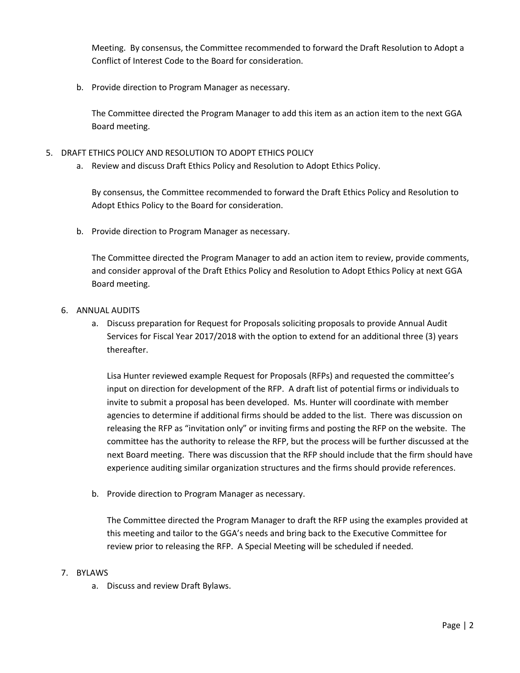Meeting. By consensus, the Committee recommended to forward the Draft Resolution to Adopt a Conflict of Interest Code to the Board for consideration.

b. Provide direction to Program Manager as necessary.

The Committee directed the Program Manager to add this item as an action item to the next GGA Board meeting.

- 5. DRAFT ETHICS POLICY AND RESOLUTION TO ADOPT ETHICS POLICY
	- a. Review and discuss Draft Ethics Policy and Resolution to Adopt Ethics Policy.

By consensus, the Committee recommended to forward the Draft Ethics Policy and Resolution to Adopt Ethics Policy to the Board for consideration.

b. Provide direction to Program Manager as necessary.

The Committee directed the Program Manager to add an action item to review, provide comments, and consider approval of the Draft Ethics Policy and Resolution to Adopt Ethics Policy at next GGA Board meeting.

- 6. ANNUAL AUDITS
	- a. Discuss preparation for Request for Proposals soliciting proposals to provide Annual Audit Services for Fiscal Year 2017/2018 with the option to extend for an additional three (3) years thereafter.

Lisa Hunter reviewed example Request for Proposals (RFPs) and requested the committee's input on direction for development of the RFP. A draft list of potential firms or individuals to invite to submit a proposal has been developed. Ms. Hunter will coordinate with member agencies to determine if additional firms should be added to the list. There was discussion on releasing the RFP as "invitation only" or inviting firms and posting the RFP on the website. The committee has the authority to release the RFP, but the process will be further discussed at the next Board meeting. There was discussion that the RFP should include that the firm should have experience auditing similar organization structures and the firms should provide references.

b. Provide direction to Program Manager as necessary.

The Committee directed the Program Manager to draft the RFP using the examples provided at this meeting and tailor to the GGA's needs and bring back to the Executive Committee for review prior to releasing the RFP. A Special Meeting will be scheduled if needed.

#### 7. BYLAWS

a. Discuss and review Draft Bylaws.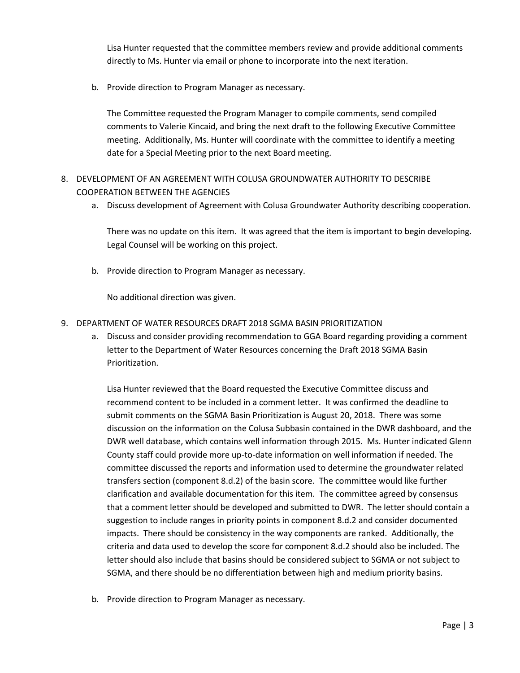Lisa Hunter requested that the committee members review and provide additional comments directly to Ms. Hunter via email or phone to incorporate into the next iteration.

b. Provide direction to Program Manager as necessary.

The Committee requested the Program Manager to compile comments, send compiled comments to Valerie Kincaid, and bring the next draft to the following Executive Committee meeting. Additionally, Ms. Hunter will coordinate with the committee to identify a meeting date for a Special Meeting prior to the next Board meeting.

- 8. DEVELOPMENT OF AN AGREEMENT WITH COLUSA GROUNDWATER AUTHORITY TO DESCRIBE COOPERATION BETWEEN THE AGENCIES
	- a. Discuss development of Agreement with Colusa Groundwater Authority describing cooperation.

There was no update on this item. It was agreed that the item is important to begin developing. Legal Counsel will be working on this project.

b. Provide direction to Program Manager as necessary.

No additional direction was given.

- 9. DEPARTMENT OF WATER RESOURCES DRAFT 2018 SGMA BASIN PRIORITIZATION
	- a. Discuss and consider providing recommendation to GGA Board regarding providing a comment letter to the Department of Water Resources concerning the Draft 2018 SGMA Basin Prioritization.

Lisa Hunter reviewed that the Board requested the Executive Committee discuss and recommend content to be included in a comment letter. It was confirmed the deadline to submit comments on the SGMA Basin Prioritization is August 20, 2018. There was some discussion on the information on the Colusa Subbasin contained in the DWR dashboard, and the DWR well database, which contains well information through 2015. Ms. Hunter indicated Glenn County staff could provide more up-to-date information on well information if needed. The committee discussed the reports and information used to determine the groundwater related transfers section (component 8.d.2) of the basin score. The committee would like further clarification and available documentation for this item. The committee agreed by consensus that a comment letter should be developed and submitted to DWR. The letter should contain a suggestion to include ranges in priority points in component 8.d.2 and consider documented impacts. There should be consistency in the way components are ranked. Additionally, the criteria and data used to develop the score for component 8.d.2 should also be included. The letter should also include that basins should be considered subject to SGMA or not subject to SGMA, and there should be no differentiation between high and medium priority basins.

b. Provide direction to Program Manager as necessary.